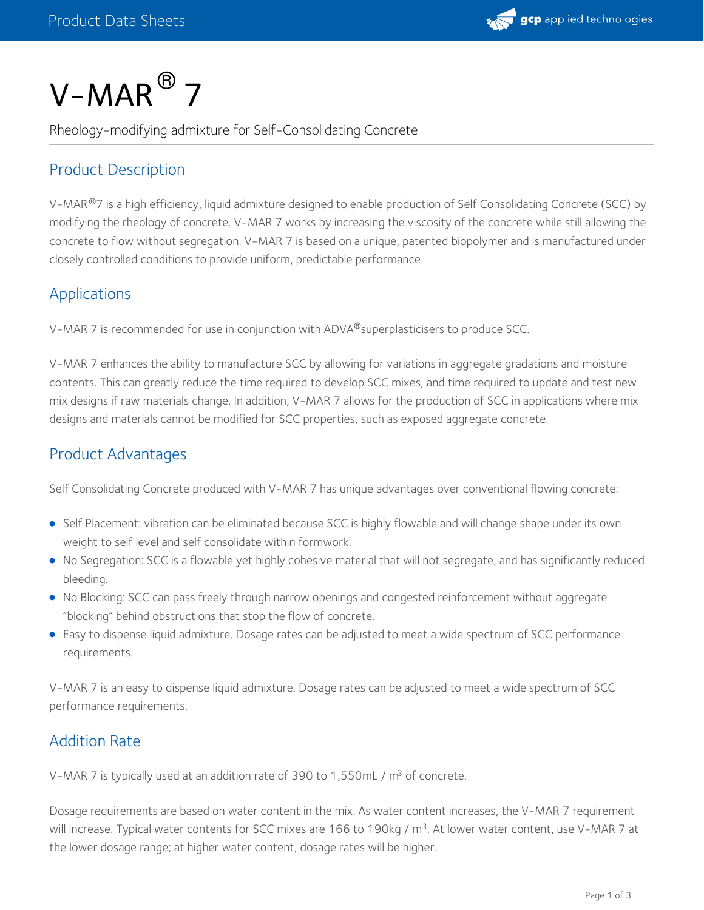

# $V\text{-}MAR$ <sup>®</sup> 7

Rheology-modifying admixture for Self-Consolidating Concrete

# Product Description

V-MAR®7 is a high efficiency, liquid admixture designed to enable production of Self Consolidating Concrete (SCC) by modifying the rheology of concrete. V-MAR 7 works by increasing the viscosity of the concrete while still allowing the concrete to flow without segregation. V-MAR 7 is based on a unique, patented biopolymer and is manufactured under closely controlled conditions to provide uniform, predictable performance.

### Applications

V-MAR 7 is recommended for use in conjunction with ADVA®superplasticisers to produce SCC.  $\,$ 

V-MAR 7 enhances the ability to manufacture SCC by allowing for variations in aggregate gradations and moisture contents. This can greatly reduce the time required to develop SCC mixes, and time required to update and test new mix designs if raw materials change. In addition, V-MAR 7 allows for the production of SCC in applications where mix designs and materials cannot be modified for SCC properties, such as exposed aggregate concrete.

# Product Advantages

Self Consolidating Concrete produced with V-MAR 7 has unique advantages over conventional flowing concrete:

- Self Placement: vibration can be eliminated because SCC is highly flowable and will change shape under its own weight to self level and self consolidate within formwork.
- No Segregation: SCC is a flowable yet highly cohesive material that will not segregate, and has significantly reduced bleeding.
- No Blocking: SCC can pass freely through narrow openings and congested reinforcement without aggregate "blocking" behind obstructions that stop the flow of concrete.
- Easy to dispense liquid admixture. Dosage rates can be adjusted to meet a wide spectrum of SCC performance requirements.

V-MAR 7 is an easy to dispense liquid admixture. Dosage rates can be adjusted to meet a wide spectrum of SCC performance requirements.

# Addition Rate

V-MAR 7 is typically used at an addition rate of 390 to 1,550mL /  $\mathrm{m}^{3}$  of concrete.

Dosage requirements are based on water content in the mix. As water content increases, the V-MAR 7 requirement will increase. Typical water contents for SCC mixes are 166 to 190kg / m<sup>3</sup>. At lower water content, use V-MAR 7 at the lower dosage range; at higher water content, dosage rates will be higher.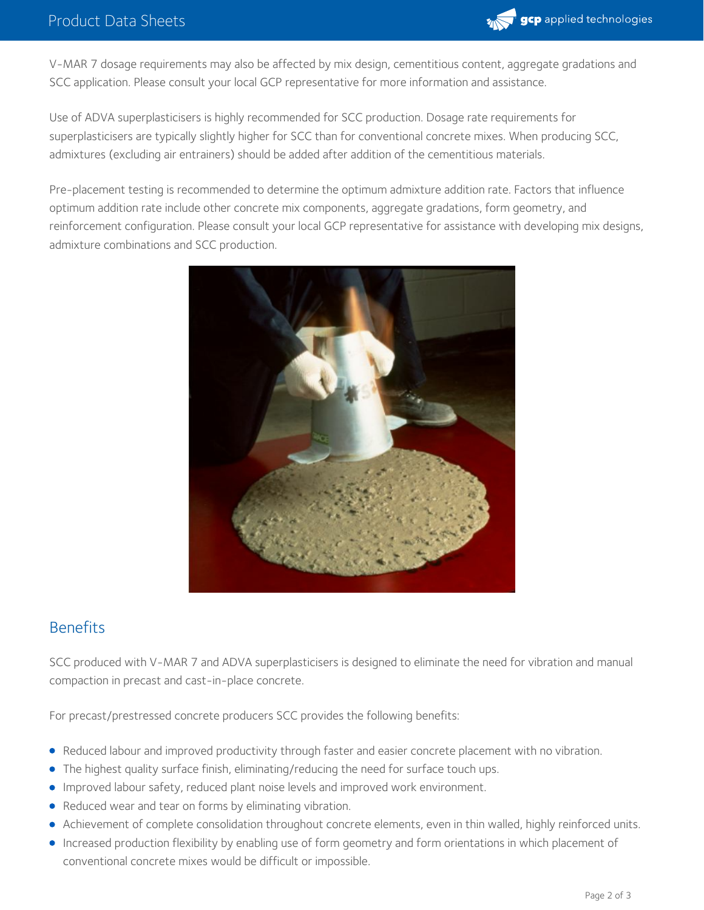

V-MAR 7 dosage requirements may also be affected by mix design, cementitious content, aggregate gradations and SCC application. Please consult your local GCP representative for more information and assistance.

Use of ADVA superplasticisers is highly recommended for SCC production. Dosage rate requirements for superplasticisers are typically slightly higher for SCC than for conventional concrete mixes. When producing SCC, admixtures (excluding air entrainers) should be added after addition of the cementitious materials.

Pre-placement testing is recommended to determine the optimum admixture addition rate. Factors that influence optimum addition rate include other concrete mix components, aggregate gradations, form geometry, and reinforcement configuration. Please consult your local GCP representative for assistance with developing mix designs, admixture combinations and SCC production.



#### **Benefits**

SCC produced with V-MAR 7 and ADVA superplasticisers is designed to eliminate the need for vibration and manual compaction in precast and cast-in-place concrete.

For precast/prestressed concrete producers SCC provides the following benefits:

- Reduced labour and improved productivity through faster and easier concrete placement with no vibration.
- The highest quality surface finish, eliminating/reducing the need for surface touch ups.
- Improved labour safety, reduced plant noise levels and improved work environment.
- Reduced wear and tear on forms by eliminating vibration.
- Achievement of complete consolidation throughout concrete elements, even in thin walled, highly reinforced units.
- Increased production flexibility by enabling use of form geometry and form orientations in which placement of conventional concrete mixes would be difficult or impossible.